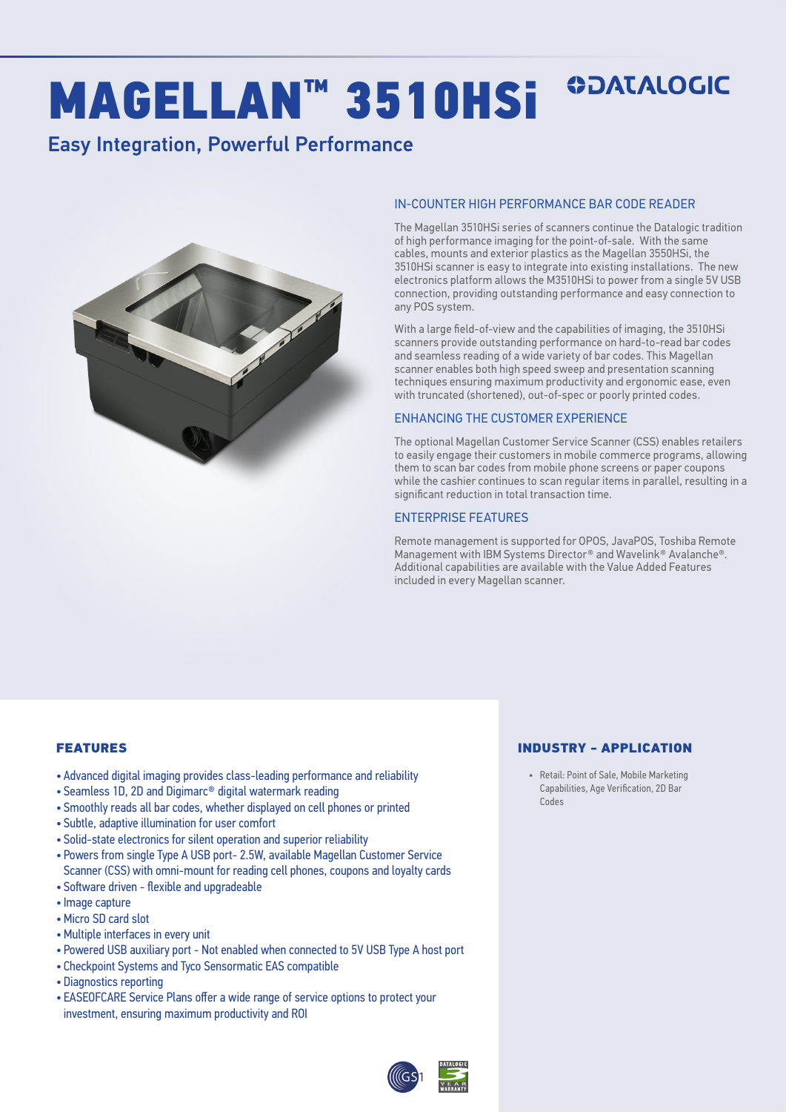## **ODATALOGIC** MAGELLAN™ 3510HSi

### Easy Integration, Powerful Performance



#### IN-COUNTER HIGH PERFORMANCE BAR CODE READER

The Magellan 3510HSi series of scanners continue the Datalogic tradition of high performance imaging for the point-of-sale. With the same cables, mounts and exterior plastics as the Magellan 3550HSi, the 3510HSi scanner is easy to integrate into existing installations. The new electronics platform allows the M3510HSi to power from a single 5V USB connection, providing outstanding performance and easy connection to any POS system.

With a large field-of-view and the capabilities of imaging, the 3510HSi scanners provide outstanding performance on hard-to-read bar codes and seamless reading of a wide variety of bar codes. This Magellan scanner enables both high speed sweep and presentation scanning techniques ensuring maximum productivity and ergonomic ease, even with truncated (shortened), out-of-spec or poorly printed codes.

#### ENHANCING THE CUSTOMER EXPERIENCE

The optional Magellan Customer Service Scanner (CSS) enables retailers to easily engage their customers in mobile commerce programs, allowing them to scan bar codes from mobile phone screens or paper coupons while the cashier continues to scan regular items in parallel, resulting in a significant reduction in total transaction time.

#### ENTERPRISE FEATURES

Remote management is supported for OPOS, JavaPOS, Toshiba Remote Management with IBM Systems Director® and Wavelink® Avalanche®. Additional capabilities are available with the Value Added Features included in every Magellan scanner.

#### FEATURES

- Advanced digital imaging provides class-leading performance and reliability
- Seamless 1D, 2D and Digimarc® digital watermark reading
- Smoothly reads all bar codes, whether displayed on cell phones or printed
- Subtle, adaptive illumination for user comfort
- Solid-state electronics for silent operation and superior reliability
- Powers from single Type A USB port- 2.5W, available Magellan Customer Service Scanner (CSS) with omni-mount for reading cell phones, coupons and loyalty cards
- Software driven flexible and upgradeable
- Image capture
- •Micro SD card slot
- •Multiple interfaces in every unit
- Powered USB auxiliary port Not enabled when connected to 5V USB Type A host port
- Checkpoint Systems and Tyco Sensormatic EAS compatible
- Diagnostics reporting
- EASEOFCARE Service Plans offer a wide range of service options to protect your investment, ensuring maximum productivity and ROI

#### INDUSTRY - APPLICATION

• Retail: Point of Sale, Mobile Marketing Capabilities, Age Verification, 2D Bar Codes